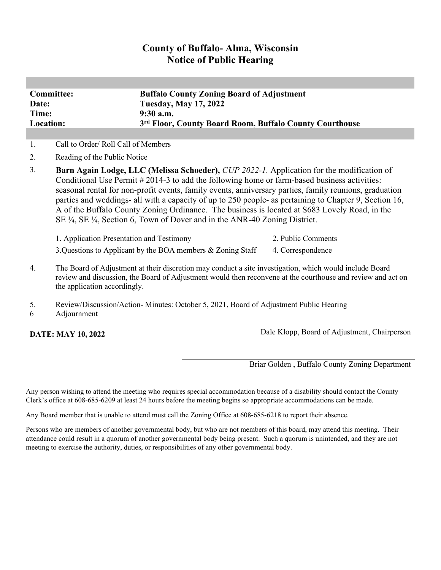# **County of Buffalo- Alma, Wisconsin Notice of Public Hearing**

| <b>Committee:</b> | <b>Buffalo County Zoning Board of Adjustment</b>        |
|-------------------|---------------------------------------------------------|
| Date:             | <b>Tuesday, May 17, 2022</b>                            |
| Time:             | $9:30$ a.m.                                             |
| Location:         | 3rd Floor, County Board Room, Buffalo County Courthouse |

1. Call to Order/ Roll Call of Members

- 2. Reading of the Public Notice
- 3. **Barn Again Lodge, LLC (Melissa Schoeder),** *CUP 2022-1.* Application for the modification of Conditional Use Permit # 2014-3 to add the following home or farm-based business activities: seasonal rental for non-profit events, family events, anniversary parties, family reunions, graduation parties and weddings- all with a capacity of up to 250 people- as pertaining to Chapter 9, Section 16, A of the Buffalo County Zoning Ordinance. The business is located at S683 Lovely Road, in the SE ¼, SE ¼, Section 6, Town of Dover and in the ANR-40 Zoning District.

| 1. Application Presentation and Testimony                      | 2. Public Comments |
|----------------------------------------------------------------|--------------------|
| 3. Questions to Applicant by the BOA members $\&$ Zoning Staff | 4. Correspondence  |

- 4. The Board of Adjustment at their discretion may conduct a site investigation, which would include Board review and discussion, the Board of Adjustment would then reconvene at the courthouse and review and act on the application accordingly.
- 5. Review/Discussion/Action- Minutes: October 5, 2021, Board of Adjustment Public Hearing
- 6 Adjournment

**DATE: MAY 10, 2022** Dale Klopp, Board of Adjustment, Chairperson

Briar Golden , Buffalo County Zoning Department

Any person wishing to attend the meeting who requires special accommodation because of a disability should contact the County Clerk's office at 608-685-6209 at least 24 hours before the meeting begins so appropriate accommodations can be made.

Any Board member that is unable to attend must call the Zoning Office at 608-685-6218 to report their absence.

Persons who are members of another governmental body, but who are not members of this board, may attend this meeting. Their attendance could result in a quorum of another governmental body being present. Such a quorum is unintended, and they are not meeting to exercise the authority, duties, or responsibilities of any other governmental body.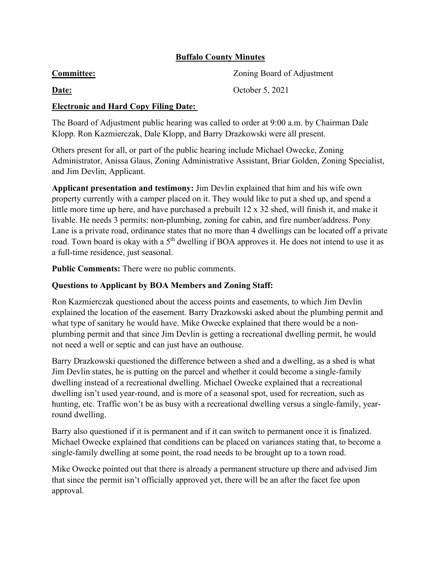## **Buffalo County Minutes**

| <b>Committee:</b>                    | Zoning Board of Adjustment |
|--------------------------------------|----------------------------|
| <b>Date:</b>                         | October 5, 2021            |
| Electronic and Hand Ceny Eline Date: |                            |

### **Electronic and Hard Copy Filing Date:**

The Board of Adjustment public hearing was called to order at 9:00 a.m. by Chairman Dale Klopp. Ron Kazmierczak, Dale Klopp, and Barry Drazkowski were all present.

Others present for all, or part of the public hearing include Michael Owecke, Zoning Administrator, Anissa Glaus, Zoning Administrative Assistant, Briar Golden, Zoning Specialist, and Jim Devlin, Applicant.

**Applicant presentation and testimony:** Jim Devlin explained that him and his wife own property currently with a camper placed on it. They would like to put a shed up, and spend a little more time up here, and have purchased a prebuilt 12 x 32 shed, will finish it, and make it livable. He needs 3 permits: non-plumbing, zoning for cabin, and fire number/address. Pony Lane is a private road, ordinance states that no more than 4 dwellings can be located off a private road. Town board is okay with a 5<sup>th</sup> dwelling if BOA approves it. He does not intend to use it as a full-time residence, just seasonal.

**Public Comments:** There were no public comments.

## **Questions to Applicant by BOA Members and Zoning Staff:**

Ron Kazmierczak questioned about the access points and easements, to which Jim Devlin explained the location of the easement. Barry Drazkowski asked about the plumbing permit and what type of sanitary he would have. Mike Owecke explained that there would be a nonplumbing permit and that since Jim Devlin is getting a recreational dwelling permit, he would not need a well or septic and can just have an outhouse.

Barry Drazkowski questioned the difference between a shed and a dwelling, as a shed is what Jim Devlin states, he is putting on the parcel and whether it could become a single-family dwelling instead of a recreational dwelling. Michael Owecke explained that a recreational dwelling isn't used year-round, and is more of a seasonal spot, used for recreation, such as hunting, etc. Traffic won't be as busy with a recreational dwelling versus a single-family, yearround dwelling.

Barry also questioned if it is permanent and if it can switch to permanent once it is finalized. Michael Owecke explained that conditions can be placed on variances stating that, to become a single-family dwelling at some point, the road needs to be brought up to a town road.

Mike Owecke pointed out that there is already a permanent structure up there and advised Jim that since the permit isn't officially approved yet, there will be an after the facet fee upon approval.